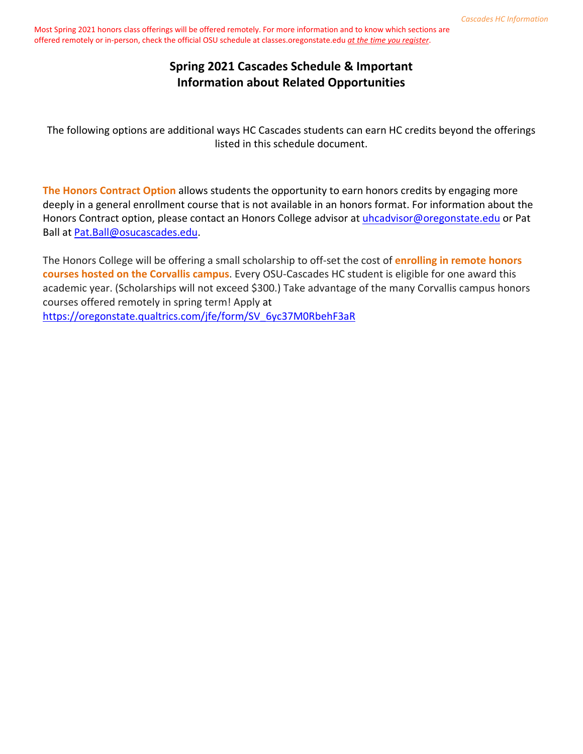# **Spring 2021 Cascades Schedule & Important Information about Related Opportunities**

The following options are additional ways HC Cascades students can earn HC credits beyond the offerings listed in this schedule document.

**The Honors Contract Option** allows students the opportunity to earn honors credits by engaging more deeply in a general enrollment course that is not available in an honors format. For information about the Honors Contract option, please contact an Honors College advisor at [uhcadvisor@oregonstate.edu](mailto:uhcadvisor@oregonstate.edu) or Pat Ball at [Pat.Ball@osucascades.edu.](mailto:Pat.Ball@osucascades.edu)

The Honors College will be offering a small scholarship to off-set the cost of **enrolling in remote honors courses hosted on the Corvallis campus**. Every OSU-Cascades HC student is eligible for one award this academic year. (Scholarships will not exceed \$300.) Take advantage of the many Corvallis campus honors courses offered remotely in spring term! Apply at [https://oregonstate.qualtrics.com/jfe/form/SV\\_6yc37M0RbehF3aR](https://oregonstate.qualtrics.com/jfe/form/SV_6yc37M0RbehF3aR)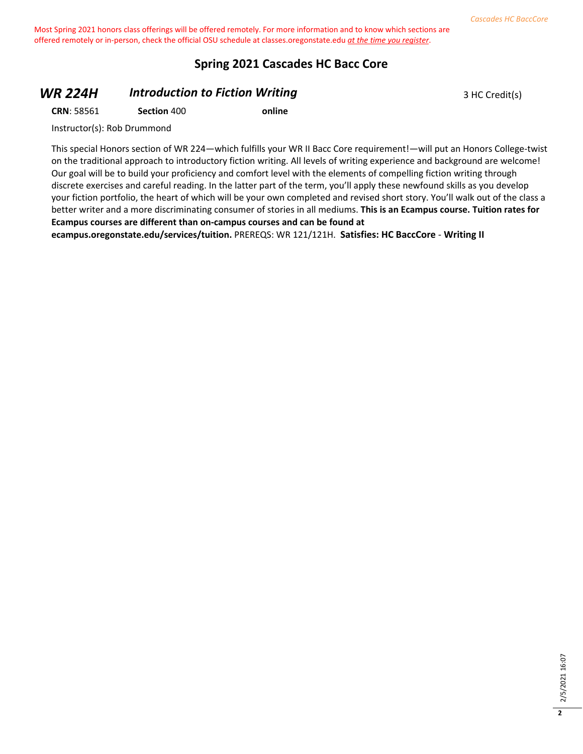#### **Spring 2021 Cascades HC Bacc Core**

#### **WR 224H Introduction to Fiction Writing 3 HC Credit(s)** 3 HC Credit(s)

**CRN**: 58561 **Section** 400 **online**

Instructor(s): Rob Drummond

This special Honors section of WR 224—which fulfills your WR II Bacc Core requirement!—will put an Honors College-twist on the traditional approach to introductory fiction writing. All levels of writing experience and background are welcome! Our goal will be to build your proficiency and comfort level with the elements of compelling fiction writing through discrete exercises and careful reading. In the latter part of the term, you'll apply these newfound skills as you develop your fiction portfolio, the heart of which will be your own completed and revised short story. You'll walk out of the class a better writer and a more discriminating consumer of stories in all mediums. **This is an Ecampus course. Tuition rates for Ecampus courses are different than on-campus courses and can be found at** 

**ecampus.oregonstate.edu/services/tuition.** PREREQS: WR 121/121H. **Satisfies: HC BaccCore** - **Writing II**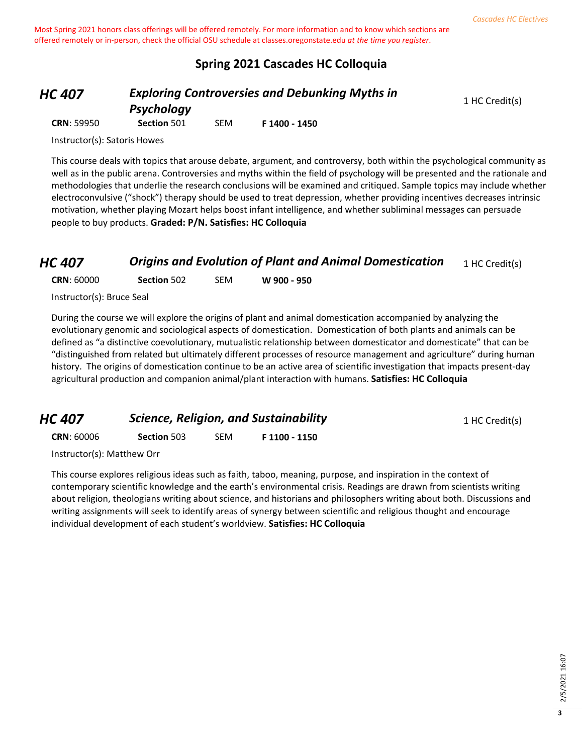## **Spring 2021 Cascades HC Colloquia**

*HC 407 Exploring Controversies and Debunking Myths in* 

1 HC Credit(s)

*Psychology*

**CRN**: 59950 **Section** 501 SEM **F 1400 - 1450**

Instructor(s): Satoris Howes

This course deals with topics that arouse debate, argument, and controversy, both within the psychological community as well as in the public arena. Controversies and myths within the field of psychology will be presented and the rationale and methodologies that underlie the research conclusions will be examined and critiqued. Sample topics may include whether electroconvulsive ("shock") therapy should be used to treat depression, whether providing incentives decreases intrinsic motivation, whether playing Mozart helps boost infant intelligence, and whether subliminal messages can persuade people to buy products. **Graded: P/N. Satisfies: HC Colloquia**

# *HC 407* **Origins and Evolution of Plant and Animal Domestication** 1 HC Credit(s)

**CRN**: 60000 **Section** 502 SEM **W 900 - 950**

Instructor(s): Bruce Seal

During the course we will explore the origins of plant and animal domestication accompanied by analyzing the evolutionary genomic and sociological aspects of domestication. Domestication of both plants and animals can be defined as "a distinctive coevolutionary, mutualistic relationship between domesticator and domesticate" that can be "distinguished from related but ultimately different processes of resource management and agriculture" during human history. The origins of domestication continue to be an active area of scientific investigation that impacts present-day agricultural production and companion animal/plant interaction with humans. **Satisfies: HC Colloquia**

| HC 407<br><b>CRN: 60006</b> | <b>Science, Religion, and Sustainability</b> |     |               | 1 HC Credit(s) |
|-----------------------------|----------------------------------------------|-----|---------------|----------------|
|                             | <b>Section 503</b>                           | SEM | F 1100 - 1150 |                |
|                             |                                              |     |               |                |

Instructor(s): Matthew Orr

This course explores religious ideas such as faith, taboo, meaning, purpose, and inspiration in the context of contemporary scientific knowledge and the earth's environmental crisis. Readings are drawn from scientists writing about religion, theologians writing about science, and historians and philosophers writing about both. Discussions and writing assignments will seek to identify areas of synergy between scientific and religious thought and encourage individual development of each student's worldview. **Satisfies: HC Colloquia**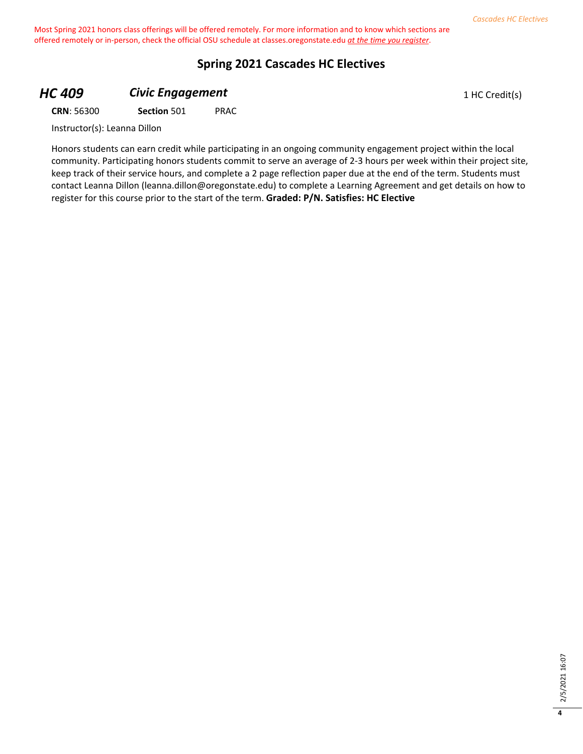#### **Spring 2021 Cascades HC Electives**

# **HC 409 Civic Engagement Civic Engagement** 1 HC Credit(s)

**CRN**: 56300 **Section** 501 PRAC

Instructor(s): Leanna Dillon

Honors students can earn credit while participating in an ongoing community engagement project within the local community. Participating honors students commit to serve an average of 2-3 hours per week within their project site, keep track of their service hours, and complete a 2 page reflection paper due at the end of the term. Students must contact Leanna Dillon (leanna.dillon@oregonstate.edu) to complete a Learning Agreement and get details on how to register for this course prior to the start of the term. **Graded: P/N. Satisfies: HC Elective**